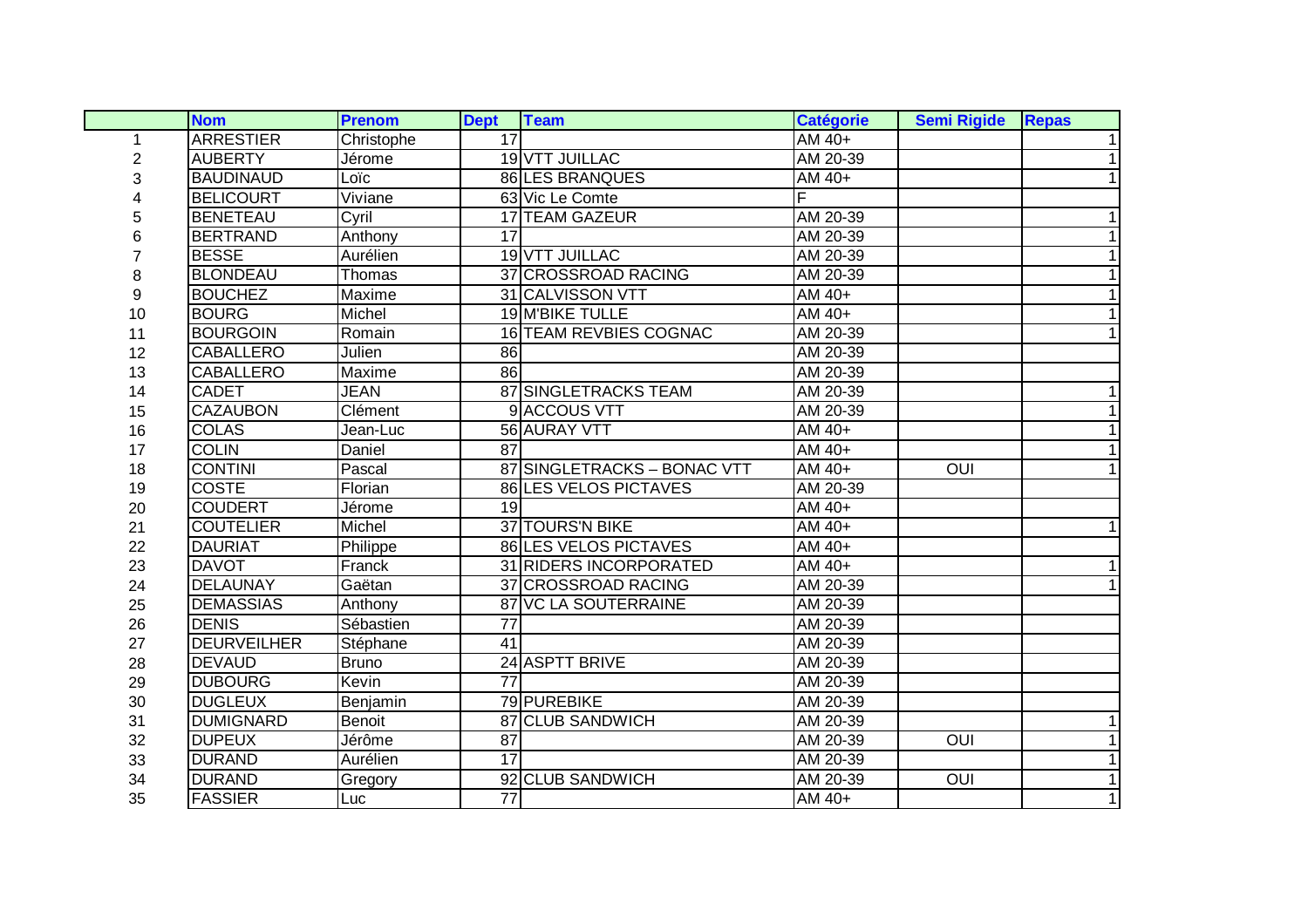|    | <b>Nom</b>         | <b>Prenom</b> | <b>Dept</b>     | <b>Team</b>                  | <b>Catégorie</b> | <b>Semi Rigide</b> | <b>Repas</b>   |
|----|--------------------|---------------|-----------------|------------------------------|------------------|--------------------|----------------|
| 1  | <b>ARRESTIER</b>   | Christophe    | $\overline{17}$ |                              | AM 40+           |                    | 1 <sup>1</sup> |
| 2  | <b>AUBERTY</b>     | Jérome        |                 | 19 VTT JUILLAC               | AM 20-39         |                    | 1              |
| 3  | <b>BAUDINAUD</b>   | Loïc          |                 | 86 LES BRANQUES              | AM 40+           |                    | 1              |
|    | <b>BELICOURT</b>   | Viviane       |                 | 63 Vic Le Comte              | F                |                    |                |
| 5  | <b>BENETEAU</b>    | Cyril         |                 | <b>17 TEAM GAZEUR</b>        | AM 20-39         |                    | 1              |
| 6  | <b>BERTRAND</b>    | Anthony       | $\overline{17}$ |                              | AM 20-39         |                    | $\mathbf 1$    |
|    | <b>BESSE</b>       | Aurélien      |                 | 19 VTT JUILLAC               | AM 20-39         |                    | 1              |
| 8  | <b>BLONDEAU</b>    | Thomas        |                 | 37 CROSSROAD RACING          | AM 20-39         |                    | 1              |
| 9  | <b>BOUCHEZ</b>     | Maxime        |                 | 31 CALVISSON VTT             | AM 40+           |                    | 1              |
| 10 | <b>BOURG</b>       | Michel        |                 | 19 M'BIKE TULLE              | AM 40+           |                    | 1              |
| 11 | <b>BOURGOIN</b>    | Romain        |                 | 16 TEAM REVBIES COGNAC       | AM 20-39         |                    | 1              |
| 12 | <b>CABALLERO</b>   | Julien        | 86              |                              | AM 20-39         |                    |                |
| 13 | <b>CABALLERO</b>   | Maxime        | 86              |                              | AM 20-39         |                    |                |
| 14 | <b>CADET</b>       | <b>JEAN</b>   |                 | 87 SINGLETRACKS TEAM         | AM 20-39         |                    | 1              |
| 15 | <b>CAZAUBON</b>    | Clément       |                 | 9 ACCOUS VTT                 | AM 20-39         |                    | $\mathbf{1}$   |
| 16 | <b>COLAS</b>       | Jean-Luc      |                 | 56 AURAY VTT                 | AM 40+           |                    | $\mathbf{1}$   |
| 17 | <b>COLIN</b>       | Daniel        | 87              |                              | AM 40+           |                    | 1              |
| 18 | <b>CONTINI</b>     | Pascal        |                 | 87 SINGLETRACKS - BONAC VTT  | AM 40+           | OUI                | 1              |
| 19 | <b>COSTE</b>       | Florian       |                 | 86 LES VELOS PICTAVES        | AM 20-39         |                    |                |
| 20 | <b>COUDERT</b>     | Jérome        | $\overline{19}$ |                              | AM 40+           |                    |                |
| 21 | <b>COUTELIER</b>   | Michel        |                 | 37 TOURS'N BIKE              | AM 40+           |                    | 1              |
| 22 | <b>DAURIAT</b>     | Philippe      |                 | <b>86 LES VELOS PICTAVES</b> | AM 40+           |                    |                |
| 23 | <b>DAVOT</b>       | Franck        |                 | 31 RIDERS INCORPORATED       | AM 40+           |                    | 1              |
| 24 | <b>DELAUNAY</b>    | Gaëtan        |                 | 37 CROSSROAD RACING          | AM 20-39         |                    | 1              |
| 25 | <b>DEMASSIAS</b>   | Anthony       |                 | 87 VC LA SOUTERRAINE         | AM 20-39         |                    |                |
| 26 | <b>DENIS</b>       | Sébastien     | $\overline{77}$ |                              | AM 20-39         |                    |                |
| 27 | <b>DEURVEILHER</b> | Stéphane      | 41              |                              | AM 20-39         |                    |                |
| 28 | <b>DEVAUD</b>      | Bruno         |                 | 24 ASPTT BRIVE               | AM 20-39         |                    |                |
| 29 | <b>DUBOURG</b>     | Kevin         | $\overline{77}$ |                              | AM 20-39         |                    |                |
| 30 | <b>DUGLEUX</b>     | Benjamin      |                 | 79 PUREBIKE                  | AM 20-39         |                    |                |
| 31 | <b>DUMIGNARD</b>   | <b>Benoit</b> |                 | 87 CLUB SANDWICH             | AM 20-39         |                    | 1              |
| 32 | <b>DUPEUX</b>      | Jérôme        | 87              |                              | AM 20-39         | $\overline{O}$     | $\mathbf{1}$   |
| 33 | <b>DURAND</b>      | Aurélien      | 17              |                              | AM 20-39         |                    | $\mathbf{1}$   |
| 34 | <b>DURAND</b>      | Gregory       |                 | 92 CLUB SANDWICH             | AM 20-39         | OUI                | $\mathbf{1}$   |
| 35 | <b>FASSIER</b>     | Luc           | $\overline{77}$ |                              | AM 40+           |                    | $\mathbf{1}$   |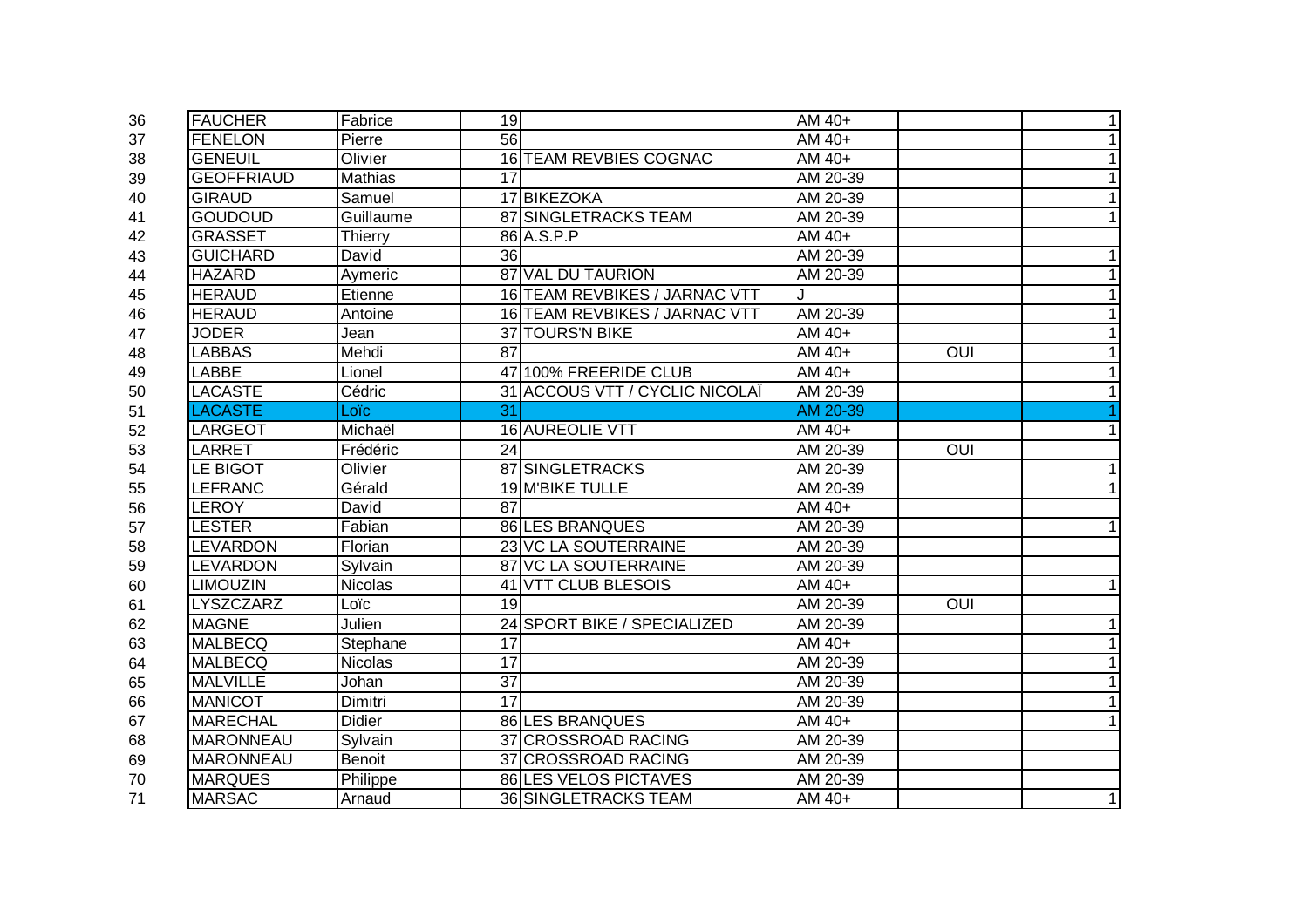| 36 | <b>FAUCHER</b>    | Fabrice        | 19              |                                | $\overline{AM}$ 40+ |                |   |
|----|-------------------|----------------|-----------------|--------------------------------|---------------------|----------------|---|
| 37 | <b>FENELON</b>    | Pierre         | 56              |                                | AM 40+              |                |   |
| 38 | <b>GENEUIL</b>    | Olivier        |                 | 16 TEAM REVBIES COGNAC         | AM 40+              |                |   |
| 39 | <b>GEOFFRIAUD</b> | <b>Mathias</b> | 17              |                                | AM 20-39            |                |   |
| 40 | <b>GIRAUD</b>     | Samuel         |                 | 17 BIKEZOKA                    | AM 20-39            |                |   |
| 41 | <b>GOUDOUD</b>    | Guillaume      |                 | <b>87 SINGLETRACKS TEAM</b>    | AM 20-39            |                |   |
| 42 | <b>GRASSET</b>    | Thierry        |                 | 86 A.S.P.P                     | AM 40+              |                |   |
| 43 | <b>GUICHARD</b>   | David          | 36              |                                | AM 20-39            |                |   |
| 44 | <b>HAZARD</b>     | Aymeric        |                 | 87 VAL DU TAURION              | AM 20-39            |                |   |
| 45 | <b>HERAUD</b>     | Etienne        |                 | 16 TEAM REVBIKES / JARNAC VTT  |                     |                |   |
| 46 | <b>HERAUD</b>     | Antoine        |                 | 16 TEAM REVBIKES / JARNAC VTT  | AM 20-39            |                |   |
| 47 | <b>JODER</b>      | Jean           |                 | 37 TOURS'N BIKE                | AM 40+              |                |   |
| 48 | <b>LABBAS</b>     | Mehdi          | 87              |                                | AM 40+              | <b>OUI</b>     |   |
| 49 | LABBE             | Lionel         |                 | 47 100% FREERIDE CLUB          | AM 40+              |                |   |
| 50 | LACASTE           | Cédric         |                 | 31 ACCOUS VTT / CYCLIC NICOLAÏ | AM 20-39            |                |   |
| 51 | <b>LACASTE</b>    | Loïc           | 31              |                                | AM 20-39            |                |   |
| 52 | LARGEOT           | Michaël        |                 | 16 AUREOLIE VTT                | AM 40+              |                |   |
| 53 | LARRET            | Frédéric       | 24              |                                | AM 20-39            | OUI            |   |
| 54 | LE BIGOT          | Olivier        |                 | 87 SINGLETRACKS                | AM 20-39            |                |   |
| 55 | <b>LEFRANC</b>    | Gérald         |                 | 19 M'BIKE TULLE                | AM 20-39            |                |   |
| 56 | <b>LEROY</b>      | David          | 87              |                                | AM 40+              |                |   |
| 57 | <b>LESTER</b>     | Fabian         |                 | <b>86 LES BRANQUES</b>         | AM 20-39            |                |   |
| 58 | <b>LEVARDON</b>   | Florian        |                 | 23 VC LA SOUTERRAINE           | AM 20-39            |                |   |
| 59 | <b>LEVARDON</b>   | Sylvain        |                 | 87 VC LA SOUTERRAINE           | AM 20-39            |                |   |
| 60 | <b>LIMOUZIN</b>   | <b>Nicolas</b> |                 | 41 VTT CLUB BLESOIS            | AM 40+              |                |   |
| 61 | LYSZCZARZ         | Loïc           | 19              |                                | AM 20-39            | $\overline{O}$ |   |
| 62 | <b>MAGNE</b>      | Julien         |                 | 24 SPORT BIKE / SPECIALIZED    | AM 20-39            |                |   |
| 63 | <b>MALBECQ</b>    | Stephane       | 17              |                                | AM 40+              |                |   |
| 64 | <b>MALBECQ</b>    | Nicolas        | 17              |                                | AM 20-39            |                |   |
| 65 | <b>MALVILLE</b>   | Johan          | $\overline{37}$ |                                | AM 20-39            |                |   |
| 66 | <b>MANICOT</b>    | Dimitri        | 17              |                                | AM 20-39            |                |   |
| 67 | <b>MARECHAL</b>   | <b>Didier</b>  |                 | 86 LES BRANQUES                | AM 40+              |                |   |
| 68 | <b>MARONNEAU</b>  | Sylvain        |                 | 37 CROSSROAD RACING            | AM 20-39            |                |   |
| 69 | <b>MARONNEAU</b>  | Benoit         |                 | 37 CROSSROAD RACING            | AM 20-39            |                |   |
| 70 | <b>MARQUES</b>    | Philippe       |                 | 86 LES VELOS PICTAVES          | AM 20-39            |                |   |
| 71 | <b>MARSAC</b>     | Arnaud         |                 | 36 SINGLETRACKS TEAM           | AM 40+              |                | 1 |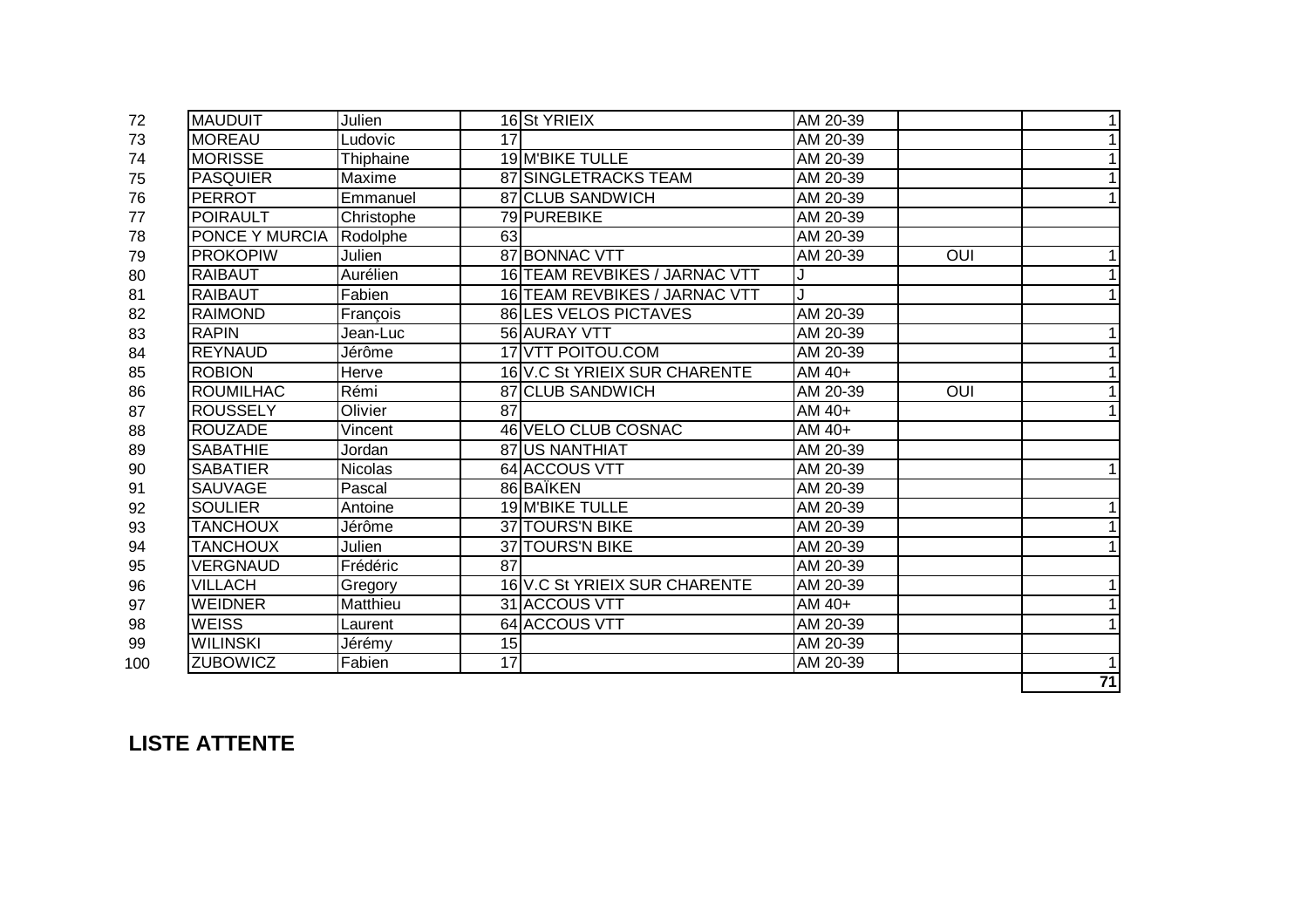| 72  | <b>MAUDUIT</b>   | Julien         |    | 16 St YRIEIX                  | AM 20-39 |            | 1 <sup>1</sup> |
|-----|------------------|----------------|----|-------------------------------|----------|------------|----------------|
| 73  | <b>MOREAU</b>    | _udovic        | 17 |                               | AM 20-39 |            |                |
| 74  | <b>MORISSE</b>   | Thiphaine      |    | 19 M'BIKE TULLE               | AM 20-39 |            | 1              |
| 75  | <b>PASQUIER</b>  | Maxime         |    | 87 SINGLETRACKS TEAM          | AM 20-39 |            | 1              |
| 76  | <b>PERROT</b>    | Emmanuel       |    | 87 CLUB SANDWICH              | AM 20-39 |            | 1              |
| 77  | <b>POIRAULT</b>  | Christophe     |    | 79 PUREBIKE                   | AM 20-39 |            |                |
| 78  | PONCE Y MURCIA   | Rodolphe       | 63 |                               | AM 20-39 |            |                |
| 79  | <b>PROKOPIW</b>  | Julien         |    | 87 BONNAC VTT                 | AM 20-39 | <b>OUI</b> |                |
| 80  | <b>RAIBAUT</b>   | Aurélien       |    | 16 TEAM REVBIKES / JARNAC VTT |          |            | 11             |
| 81  | <b>RAIBAUT</b>   | Fabien         |    | 16 TEAM REVBIKES / JARNAC VTT |          |            | 1              |
| 82  | <b>RAIMOND</b>   | François       |    | <b>86 LES VELOS PICTAVES</b>  | AM 20-39 |            |                |
| 83  | <b>RAPIN</b>     | Jean-Luc       |    | 56 AURAY VTT                  | AM 20-39 |            | 11             |
| 84  | <b>REYNAUD</b>   | Jérôme         |    | 17 VTT POITOU.COM             | AM 20-39 |            | 1              |
| 85  | <b>ROBION</b>    | Herve          |    | 16 V.C St YRIEIX SUR CHARENTE | AM 40+   |            | 11             |
| 86  | <b>ROUMILHAC</b> | Rémi           |    | 87 CLUB SANDWICH              | AM 20-39 | <b>OUI</b> | 11             |
| 87  | <b>ROUSSELY</b>  | Olivier        | 87 |                               | AM 40+   |            | 1              |
| 88  | <b>ROUZADE</b>   | Vincent        |    | 46 VELO CLUB COSNAC           | AM 40+   |            |                |
| 89  | <b>SABATHIE</b>  | Jordan         |    | 87 US NANTHIAT                | AM 20-39 |            |                |
| 90  | <b>SABATIER</b>  | <b>Nicolas</b> |    | 64 ACCOUS VTT                 | AM 20-39 |            | 11             |
| 91  | <b>SAUVAGE</b>   | Pascal         |    | 86 BAÏKEN                     | AM 20-39 |            |                |
| 92  | <b>SOULIER</b>   | Antoine        |    | 19 M'BIKE TULLE               | AM 20-39 |            | 11             |
| 93  | <b>TANCHOUX</b>  | Jérôme         |    | <b>37 TOURS'N BIKE</b>        | AM 20-39 |            | 11             |
| 94  | <b>TANCHOUX</b>  | Julien         |    | 37 TOURS'N BIKE               | AM 20-39 |            | 11             |
| 95  | <b>VERGNAUD</b>  | Frédéric       | 87 |                               | AM 20-39 |            |                |
| 96  | <b>VILLACH</b>   | Gregory        |    | 16 V.C St YRIEIX SUR CHARENTE | AM 20-39 |            | 11             |
| 97  | <b>WEIDNER</b>   | Matthieu       |    | 31 ACCOUS VTT                 | AM 40+   |            | 11             |
| 98  | <b>WEISS</b>     | Laurent        |    | 64 ACCOUS VTT                 | AM 20-39 |            | $\mathbf{1}$   |
| 99  | <b>WILINSKI</b>  | Jérémy         | 15 |                               | AM 20-39 |            |                |
| 100 | <b>ZUBOWICZ</b>  | Fabien         | 17 |                               | AM 20-39 |            | 11             |
|     |                  |                |    |                               |          |            | 71             |

## **LISTE ATTENTE**